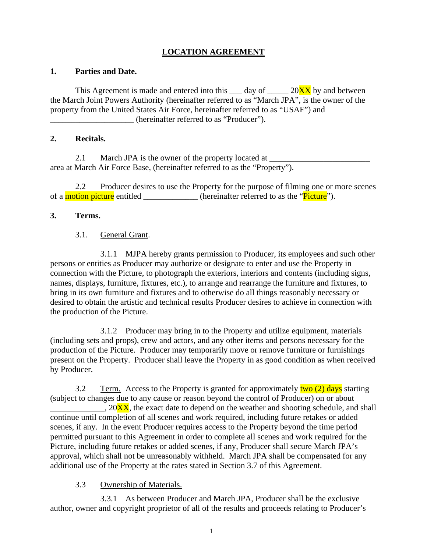# **LOCATION AGREEMENT**

#### **1. Parties and Date.**

This Agreement is made and entered into this  $\_\_$  day of  $\_\_$  20 $\overline{XX}$  by and between the March Joint Powers Authority (hereinafter referred to as "March JPA", is the owner of the property from the United States Air Force, hereinafter referred to as "USAF") and (hereinafter referred to as "Producer").

### **2. Recitals.**

2.1 March JPA is the owner of the property located at area at March Air Force Base, (hereinafter referred to as the "Property").

 2.2 Producer desires to use the Property for the purpose of filming one or more scenes of a motion picture entitled \_\_\_\_\_\_\_\_\_\_\_\_ (hereinafter referred to as the "Picture").

### **3. Terms.**

## 3.1. General Grant.

 3.1.1 MJPA hereby grants permission to Producer, its employees and such other persons or entities as Producer may authorize or designate to enter and use the Property in connection with the Picture, to photograph the exteriors, interiors and contents (including signs, names, displays, furniture, fixtures, etc.), to arrange and rearrange the furniture and fixtures, to bring in its own furniture and fixtures and to otherwise do all things reasonably necessary or desired to obtain the artistic and technical results Producer desires to achieve in connection with the production of the Picture.

 3.1.2 Producer may bring in to the Property and utilize equipment, materials (including sets and props), crew and actors, and any other items and persons necessary for the production of the Picture. Producer may temporarily move or remove furniture or furnishings present on the Property. Producer shall leave the Property in as good condition as when received by Producer.

3.2 Term. Access to the Property is granted for approximately two (2) days starting (subject to changes due to any cause or reason beyond the control of Producer) on or about  $\Box$ , 20 $\overline{XX}$ , the exact date to depend on the weather and shooting schedule, and shall continue until completion of all scenes and work required, including future retakes or added scenes, if any. In the event Producer requires access to the Property beyond the time period permitted pursuant to this Agreement in order to complete all scenes and work required for the Picture, including future retakes or added scenes, if any, Producer shall secure March JPA's approval, which shall not be unreasonably withheld. March JPA shall be compensated for any additional use of the Property at the rates stated in Section 3.7 of this Agreement.

## 3.3 Ownership of Materials.

 3.3.1 As between Producer and March JPA, Producer shall be the exclusive author, owner and copyright proprietor of all of the results and proceeds relating to Producer's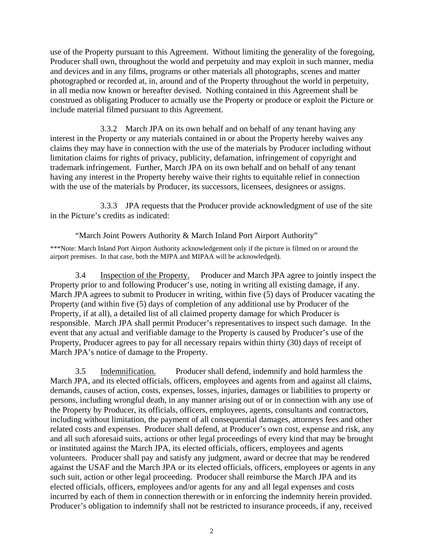use of the Property pursuant to this Agreement. Without limiting the generality of the foregoing, Producer shall own, throughout the world and perpetuity and may exploit in such manner, media and devices and in any films, programs or other materials all photographs, scenes and matter photographed or recorded at, in, around and of the Property throughout the world in perpetuity, in all media now known or hereafter devised. Nothing contained in this Agreement shall be construed as obligating Producer to actually use the Property or produce or exploit the Picture or include material filmed pursuant to this Agreement.

 3.3.2 March JPA on its own behalf and on behalf of any tenant having any interest in the Property or any materials contained in or about the Property hereby waives any claims they may have in connection with the use of the materials by Producer including without limitation claims for rights of privacy, publicity, defamation, infringement of copyright and trademark infringement. Further, March JPA on its own behalf and on behalf of any tenant having any interest in the Property hereby waive their rights to equitable relief in connection with the use of the materials by Producer, its successors, licensees, designees or assigns.

 3.3.3 JPA requests that the Producer provide acknowledgment of use of the site in the Picture's credits as indicated:

"March Joint Powers Authority & March Inland Port Airport Authority"

\*\*\*Note: March Inland Port Airport Authority acknowledgement only if the picture is filmed on or around the airport premises. In that case, both the MJPA and MIPAA will be acknowledged).

 3.4 Inspection of the Property. Producer and March JPA agree to jointly inspect the Property prior to and following Producer's use, noting in writing all existing damage, if any. March JPA agrees to submit to Producer in writing, within five (5) days of Producer vacating the Property (and within five (5) days of completion of any additional use by Producer of the Property, if at all), a detailed list of all claimed property damage for which Producer is responsible. March JPA shall permit Producer's representatives to inspect such damage. In the event that any actual and verifiable damage to the Property is caused by Producer's use of the Property, Producer agrees to pay for all necessary repairs within thirty (30) days of receipt of March JPA's notice of damage to the Property.

 3.5 Indemnification. Producer shall defend, indemnify and hold harmless the March JPA, and its elected officials, officers, employees and agents from and against all claims, demands, causes of action, costs, expenses, losses, injuries, damages or liabilities to property or persons, including wrongful death, in any manner arising out of or in connection with any use of the Property by Producer, its officials, officers, employees, agents, consultants and contractors, including without limitation, the payment of all consequential damages, attorneys fees and other related costs and expenses. Producer shall defend, at Producer's own cost, expense and risk, any and all such aforesaid suits, actions or other legal proceedings of every kind that may be brought or instituted against the March JPA, its elected officials, officers, employees and agents volunteers. Producer shall pay and satisfy any judgment, award or decree that may be rendered against the USAF and the March JPA or its elected officials, officers, employees or agents in any such suit, action or other legal proceeding. Producer shall reimburse the March JPA and its elected officials, officers, employees and/or agents for any and all legal expenses and costs incurred by each of them in connection therewith or in enforcing the indemnity herein provided. Producer's obligation to indemnify shall not be restricted to insurance proceeds, if any, received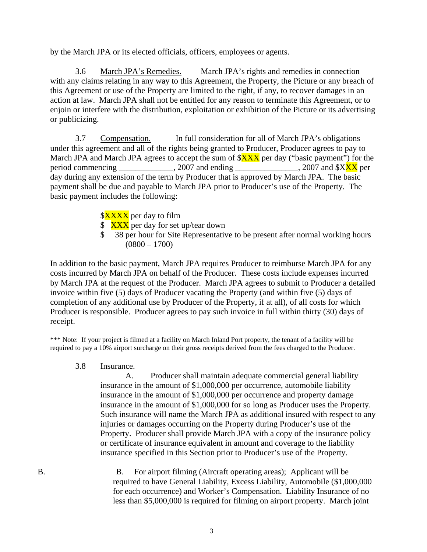by the March JPA or its elected officials, officers, employees or agents.

 3.6 March JPA's Remedies. March JPA's rights and remedies in connection with any claims relating in any way to this Agreement, the Property, the Picture or any breach of this Agreement or use of the Property are limited to the right, if any, to recover damages in an action at law. March JPA shall not be entitled for any reason to terminate this Agreement, or to enjoin or interfere with the distribution, exploitation or exhibition of the Picture or its advertising or publicizing.

 3.7 Compensation. In full consideration for all of March JPA's obligations under this agreement and all of the rights being granted to Producer, Producer agrees to pay to March JPA and March JPA agrees to accept the sum of  $XXX$  per day ("basic payment") for the period commencing \_\_\_\_\_\_\_\_\_\_, 2007 and ending \_\_\_\_\_\_\_\_\_\_\_\_\_, 2007 and \$XXX per day during any extension of the term by Producer that is approved by March JPA. The basic payment shall be due and payable to March JPA prior to Producer's use of the Property. The basic payment includes the following:

\$XXXX per day to film

- \$ XXX per day for set up/tear down
- \$ 38 per hour for Site Representative to be present after normal working hours  $(0800 - 1700)$

In addition to the basic payment, March JPA requires Producer to reimburse March JPA for any costs incurred by March JPA on behalf of the Producer. These costs include expenses incurred by March JPA at the request of the Producer. March JPA agrees to submit to Producer a detailed invoice within five (5) days of Producer vacating the Property (and within five (5) days of completion of any additional use by Producer of the Property, if at all), of all costs for which Producer is responsible. Producer agrees to pay such invoice in full within thirty (30) days of receipt.

\*\*\* Note: If your project is filmed at a facility on March Inland Port property, the tenant of a facility will be required to pay a 10% airport surcharge on their gross receipts derived from the fees charged to the Producer.

3.8 Insurance.

A. Producer shall maintain adequate commercial general liability insurance in the amount of \$1,000,000 per occurrence, automobile liability insurance in the amount of \$1,000,000 per occurrence and property damage insurance in the amount of \$1,000,000 for so long as Producer uses the Property. Such insurance will name the March JPA as additional insured with respect to any injuries or damages occurring on the Property during Producer's use of the Property. Producer shall provide March JPA with a copy of the insurance policy or certificate of insurance equivalent in amount and coverage to the liability insurance specified in this Section prior to Producer's use of the Property.

B. B. For airport filming (Aircraft operating areas); Applicant will be required to have General Liability, Excess Liability, Automobile (\$1,000,000 for each occurrence) and Worker's Compensation. Liability Insurance of no less than \$5,000,000 is required for filming on airport property. March joint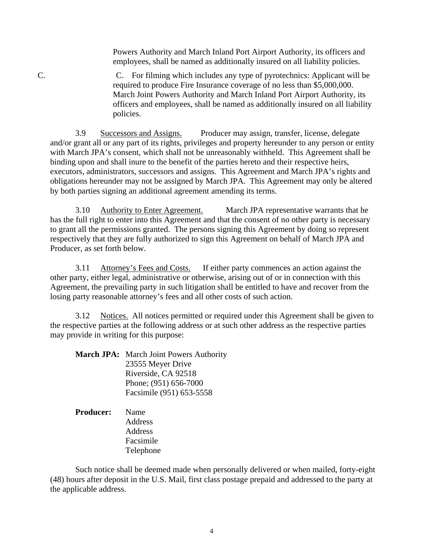Powers Authority and March Inland Port Airport Authority, its officers and employees, shall be named as additionally insured on all liability policies.

C. C. For filming which includes any type of pyrotechnics: Applicant will be required to produce Fire Insurance coverage of no less than \$5,000,000. March Joint Powers Authority and March Inland Port Airport Authority, its officers and employees, shall be named as additionally insured on all liability policies.

 3.9 Successors and Assigns. Producer may assign, transfer, license, delegate and/or grant all or any part of its rights, privileges and property hereunder to any person or entity with March JPA's consent, which shall not be unreasonably withheld. This Agreement shall be binding upon and shall inure to the benefit of the parties hereto and their respective heirs, executors, administrators, successors and assigns. This Agreement and March JPA's rights and obligations hereunder may not be assigned by March JPA. This Agreement may only be altered by both parties signing an additional agreement amending its terms.

 3.10 Authority to Enter Agreement. March JPA representative warrants that he has the full right to enter into this Agreement and that the consent of no other party is necessary to grant all the permissions granted. The persons signing this Agreement by doing so represent respectively that they are fully authorized to sign this Agreement on behalf of March JPA and Producer, as set forth below.

3.11 Attorney's Fees and Costs. If either party commences an action against the other party, either legal, administrative or otherwise, arising out of or in connection with this Agreement, the prevailing party in such litigation shall be entitled to have and recover from the losing party reasonable attorney's fees and all other costs of such action.

 3.12 Notices. All notices permitted or required under this Agreement shall be given to the respective parties at the following address or at such other address as the respective parties may provide in writing for this purpose:

| March JPA: March Joint Powers Authority |
|-----------------------------------------|
| 23555 Meyer Drive                       |
| Riverside, CA 92518                     |
| Phone; (951) 656-7000                   |
| Facsimile (951) 653-5558                |
|                                         |

 **Producer:** Name **Address Address**  Facsimile Telephone

 Such notice shall be deemed made when personally delivered or when mailed, forty-eight (48) hours after deposit in the U.S. Mail, first class postage prepaid and addressed to the party at the applicable address.